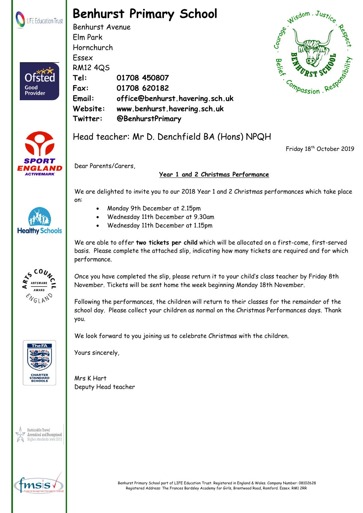

## **Benhurst Primary School**

Benhurst Avenue Elm Park Hornchurch Essex RM12 4QS **Tel: 01708 450807 Fax: 01708 620182 Email: office@benhurst.havering.sch.uk Website: www.benhurst.havering.sch.uk Twitter: @BenhurstPrimary**





Good Provider

## Head teacher: Mr D. Denchfield BA (Hons) NPQH

Friday 18<sup>th</sup> October 2019



Dear Parents/Carers,

## **Year 1 and 2 Christmas Performance**

We are delighted to invite you to our 2018 Year 1 and 2 Christmas performances which take place on:

- Monday 9th December at 2.15pm
- Wednesday 11th December at 9.30am
- Wednesday 11th December at 1.15pm

We are able to offer **two tickets per child** which will be allocated on a first-come, first-served basis. Please complete the attached slip, indicating how many tickets are required and for which performance.

Once you have completed the slip, please return it to your child's class teacher by Friday 8th November. Tickets will be sent home the week beginning Monday 18th November.

Following the performances, the children will return to their classes for the remainder of the school day. Please collect your children as normal on the Christmas Performances days. Thank you.

We look forward to you joining us to celebrate Christmas with the children.





Mrs K Hart Deputy Head teacher









**Healthy Schools**